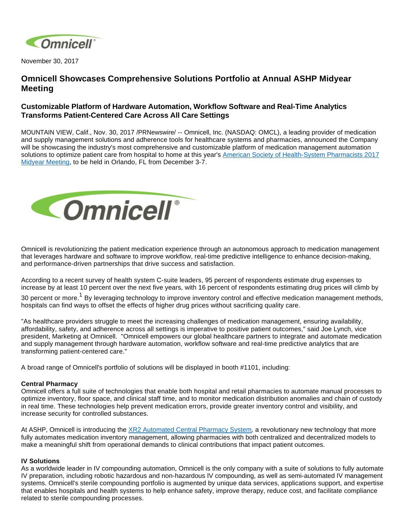

November 30, 2017

# **Omnicell Showcases Comprehensive Solutions Portfolio at Annual ASHP Midyear Meeting**

## **Customizable Platform of Hardware Automation, Workflow Software and Real-Time Analytics Transforms Patient-Centered Care Across All Care Settings**

MOUNTAIN VIEW, Calif., Nov. 30, 2017 /PRNewswire/ -- Omnicell, Inc. (NASDAQ: OMCL), a leading provider of medication and supply management solutions and adherence tools for healthcare systems and pharmacies, announced the Company will be showcasing the industry's most comprehensive and customizable platform of medication management automation solutions to optimize patient care from hospital to home at this year's [American Society of Health-System Pharmacists 2017](https://midyear17.ashp.org/)  [Midyear Meeting](https://midyear17.ashp.org/), to be held in Orlando, FL from December 3-7.



Omnicell is revolutionizing the patient medication experience through an autonomous approach to medication management that leverages hardware and software to improve workflow, real-time predictive intelligence to enhance decision-making, and performance-driven partnerships that drive success and satisfaction.

According to a recent survey of health system C-suite leaders, 95 percent of respondents estimate drug expenses to increase by at least 10 percent over the next five years, with 16 percent of respondents estimating drug prices will climb by

30 percent or more.<sup>1</sup> By leveraging technology to improve inventory control and effective medication management methods, hospitals can find ways to offset the effects of higher drug prices without sacrificing quality care.

"As healthcare providers struggle to meet the increasing challenges of medication management, ensuring availability, affordability, safety, and adherence across all settings is imperative to positive patient outcomes," said Joe Lynch, vice president, Marketing at Omnicell. "Omnicell empowers our global healthcare partners to integrate and automate medication and supply management through hardware automation, workflow software and real-time predictive analytics that are transforming patient-centered care."

A broad range of Omnicell's portfolio of solutions will be displayed in booth #1101, including:

### **Central Pharmacy**

Omnicell offers a full suite of technologies that enable both hospital and retail pharmacies to automate manual processes to optimize inventory, floor space, and clinical staff time, and to monitor medication distribution anomalies and chain of custody in real time. These technologies help prevent medication errors, provide greater inventory control and visibility, and increase security for controlled substances.

At ASHP, Omnicell is introducing the [XR2 Automated Central Pharmacy System](https://www.omnicell.com/News_and_Events/Press_Releases/Omnicell_Introduces_Revolutionary_New_Solution_to_Automate_Critical_Workflows_in_Central_Pharmacy.aspx), a revolutionary new technology that more fully automates medication inventory management, allowing pharmacies with both centralized and decentralized models to make a meaningful shift from operational demands to clinical contributions that impact patient outcomes.

### **IV Solutions**

As a worldwide leader in IV compounding automation, Omnicell is the only company with a suite of solutions to fully automate IV preparation, including robotic hazardous and non-hazardous IV compounding, as well as semi-automated IV management systems. Omnicell's sterile compounding portfolio is augmented by unique data services, applications support, and expertise that enables hospitals and health systems to help enhance safety, improve therapy, reduce cost, and facilitate compliance related to sterile compounding processes.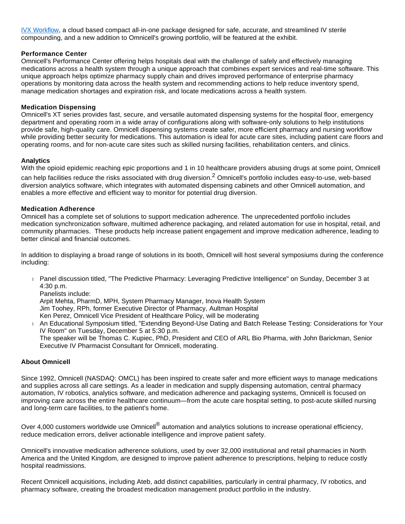[IVX Workflow,](https://www.omnicell.com/News_and_Events/Press_Releases/Omnicell_Launches_New_IVX_Workflow_Solution.aspx) a cloud based compact all-in-one package designed for safe, accurate, and streamlined IV sterile compounding, and a new addition to Omnicell's growing portfolio, will be featured at the exhibit.

### **Performance Center**

Omnicell's Performance Center offering helps hospitals deal with the challenge of safely and effectively managing medications across a health system through a unique approach that combines expert services and real-time software. This unique approach helps optimize pharmacy supply chain and drives improved performance of enterprise pharmacy operations by monitoring data across the health system and recommending actions to help reduce inventory spend, manage medication shortages and expiration risk, and locate medications across a health system.

#### **Medication Dispensing**

Omnicell's XT series provides fast, secure, and versatile automated dispensing systems for the hospital floor, emergency department and operating room in a wide array of configurations along with software-only solutions to help institutions provide safe, high-quality care. Omnicell dispensing systems create safer, more efficient pharmacy and nursing workflow while providing better security for medications. This automation is ideal for acute care sites, including patient care floors and operating rooms, and for non-acute care sites such as skilled nursing facilities, rehabilitation centers, and clinics.

#### **Analytics**

With the opioid epidemic reaching epic proportions and 1 in 10 healthcare providers abusing drugs at some point, Omnicell

can help facilities reduce the risks associated with drug diversion.<sup>2</sup> Omnicell's portfolio includes easy-to-use, web-based diversion analytics software, which integrates with automated dispensing cabinets and other Omnicell automation, and enables a more effective and efficient way to monitor for potential drug diversion.

### **Medication Adherence**

Omnicell has a complete set of solutions to support medication adherence. The unprecedented portfolio includes medication synchronization software, multimed adherence packaging, and related automation for use in hospital, retail, and community pharmacies. These products help increase patient engagement and improve medication adherence, leading to better clinical and financial outcomes.

In addition to displaying a broad range of solutions in its booth, Omnicell will host several symposiums during the conference including:

- Panel discussion titled, "The Predictive Pharmacy: Leveraging Predictive Intelligence" on Sunday, December 3 at 4:30 p.m.
	- Panelists include:

Arpit Mehta, PharmD, MPH, System Pharmacy Manager, Inova Health System Jim Toohey, RPh, former Executive Director of Pharmacy, Aultman Hospital Ken Perez, Omnicell Vice President of Healthcare Policy, will be moderating

- An Educational Symposium titled, "Extending Beyond-Use Dating and Batch Release Testing: Considerations for Your IV Room" on Tuesday, December 5 at 5:30 p.m. The speaker will be Thomas C. Kupiec, PhD, President and CEO of ARL Bio Pharma, with John Barickman, Senior
- Executive IV Pharmacist Consultant for Omnicell, moderating.

### **About Omnicell**

Since 1992, Omnicell (NASDAQ: OMCL) has been inspired to create safer and more efficient ways to manage medications and supplies across all care settings. As a leader in medication and supply dispensing automation, central pharmacy automation, IV robotics, analytics software, and medication adherence and packaging systems, Omnicell is focused on improving care across the entire healthcare continuum—from the acute care hospital setting, to post-acute skilled nursing and long-term care facilities, to the patient's home.

Over 4,000 customers worldwide use Omnicell<sup>®</sup> automation and analytics solutions to increase operational efficiency, reduce medication errors, deliver actionable intelligence and improve patient safety.

Omnicell's innovative medication adherence solutions, used by over 32,000 institutional and retail pharmacies in North America and the United Kingdom, are designed to improve patient adherence to prescriptions, helping to reduce costly hospital readmissions.

Recent Omnicell acquisitions, including Ateb, add distinct capabilities, particularly in central pharmacy, IV robotics, and pharmacy software, creating the broadest medication management product portfolio in the industry.